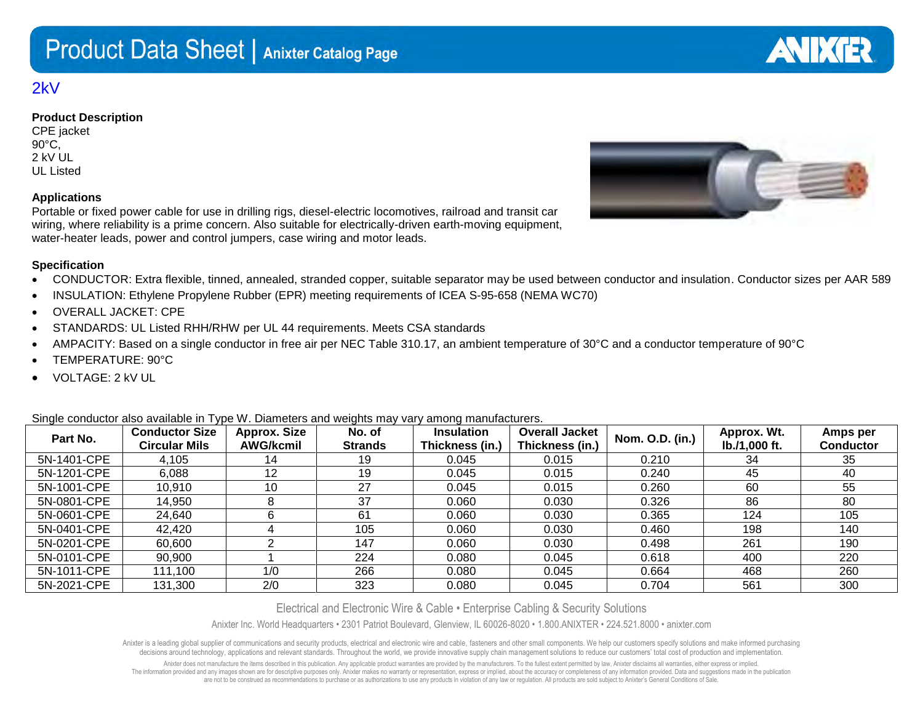## 2kV

## **Product Description**

CPE jacket 90°C, 2 kV UL UL Listed

## **Applications**

Portable or fixed power cable for use in drilling rigs, diesel-electric locomotives, railroad and transit car wiring, where reliability is a prime concern. Also suitable for electrically-driven earth-moving equipment, water-heater leads, power and control jumpers, case wiring and motor leads.

## **Specification**

- CONDUCTOR: Extra flexible, tinned, annealed, stranded copper, suitable separator may be used between conductor and insulation. Conductor sizes per AAR 589
- INSULATION: Ethylene Propylene Rubber (EPR) meeting requirements of ICEA S-95-658 (NEMA WC70)
- OVERALL JACKET: CPE
- STANDARDS: UL Listed RHH/RHW per UL 44 requirements. Meets CSA standards
- AMPACITY: Based on a single conductor in free air per NEC Table 310.17, an ambient temperature of 30°C and a conductor temperature of 90°C
- TEMPERATURE: 90°C
- VOLTAGE: 2 kV UL

Single conductor also available in Type W. Diameters and weights may vary among manufacturers.

| Part No.    | <b>Conductor Size</b><br><b>Circular Mils</b> | <b>Approx. Size</b><br><b>AWG/kcmil</b> | No. of<br><b>Strands</b> | <b>Insulation</b><br>Thickness (in.) | <b>Overall Jacket</b><br>Thickness (in.) | Nom. O.D. (in.) | Approx. Wt.<br>lb./1,000 ft. | Amps per<br><b>Conductor</b> |
|-------------|-----------------------------------------------|-----------------------------------------|--------------------------|--------------------------------------|------------------------------------------|-----------------|------------------------------|------------------------------|
| 5N-1401-CPE | 4,105                                         | 14                                      | 19                       | 0.045                                | 0.015                                    | 0.210           | 34                           | 35                           |
| 5N-1201-CPE | 6,088                                         | 12                                      | 19                       | 0.045                                | 0.015                                    | 0.240           | 45                           | 40                           |
| 5N-1001-CPE | 10,910                                        | 10                                      | 27                       | 0.045                                | 0.015                                    | 0.260           | 60                           | 55                           |
| 5N-0801-CPE | 14,950                                        |                                         | 37                       | 0.060                                | 0.030                                    | 0.326           | 86                           | 80                           |
| 5N-0601-CPE | 24,640                                        |                                         | 61                       | 0.060                                | 0.030                                    | 0.365           | 124                          | 105                          |
| 5N-0401-CPE | 42,420                                        |                                         | 105                      | 0.060                                | 0.030                                    | 0.460           | 198                          | 140                          |
| 5N-0201-CPE | 60,600                                        |                                         | 147                      | 0.060                                | 0.030                                    | 0.498           | 261                          | 190                          |
| 5N-0101-CPE | 90,900                                        |                                         | 224                      | 0.080                                | 0.045                                    | 0.618           | 400                          | 220                          |
| 5N-1011-CPE | 111,100                                       | 1/0                                     | 266                      | 0.080                                | 0.045                                    | 0.664           | 468                          | 260                          |
| 5N-2021-CPE | 131,300                                       | 2/0                                     | 323                      | 0.080                                | 0.045                                    | 0.704           | 561                          | 300                          |

Electrical and Electronic Wire & Cable • Enterprise Cabling & Security Solutions

Anixter Inc. World Headquarters • 2301 Patriot Boulevard, Glenview, IL 60026-8020 • 1.800.ANIXTER • 224.521.8000 • anixter.com

Anixter is a leading global supplier of communications and security products, electrical and electronic wire and cable, fasteners and other small components. We help our customers specify solutions and make informed purcha decisions around technology, applications and relevant standards. Throughout the world, we provide innovative supply chain management solutions to reduce our customers' total cost of production and implementation.

Anixter does not manufacture the items described in this publication. Any applicable product warranties are provided by the manufacturers. To the fullest extent permitted by law. Anixter disclaims all warranties, either ex The information provided and any images shown are for descriptive purposes only. Anixter makes no warranty or representation, express or implied, about the accuracy or completeness of any information provided. Data and sug are not to be construed as recommendations to purchase or as authorizations to use any products in violation of any law or regulation. All products are sold subject to Anixter's General Conditions of Sale.